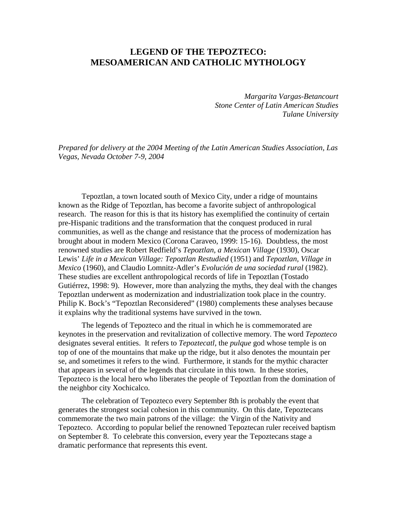# **LEGEND OF THE TEPOZTECO: MESOAMERICAN AND CATHOLIC MYTHOLOGY**

*Margarita Vargas-Betancourt Stone Center of Latin American Studies Tulane University* 

*Prepared for delivery at the 2004 Meeting of the Latin American Studies Association, Las Vegas, Nevada October 7-9, 2004* 

Tepoztlan, a town located south of Mexico City, under a ridge of mountains known as the Ridge of Tepoztlan, has become a favorite subject of anthropological research. The reason for this is that its history has exemplified the continuity of certain pre-Hispanic traditions and the transformation that the conquest produced in rural communities, as well as the change and resistance that the process of modernization has brought about in modern Mexico (Corona Caraveo, 1999: 15-16). Doubtless, the most renowned studies are Robert Redfield's *Tepoztlan, a Mexican Village* (1930), Oscar Lewis' *Life in a Mexican Village: Tepoztlan Restudied* (1951) and *Tepoztlan, Village in Mexico* (1960), and Claudio Lomnitz-Adler's *Evolución de una sociedad rural* (1982). These studies are excellent anthropological records of life in Tepoztlan (Tostado Gutiérrez, 1998: 9). However, more than analyzing the myths, they deal with the changes Tepoztlan underwent as modernization and industrialization took place in the country. Philip K. Bock's "Tepoztlan Reconsidered" (1980) complements these analyses because it explains why the traditional systems have survived in the town.

The legends of Tepozteco and the ritual in which he is commemorated are keynotes in the preservation and revitalization of collective memory. The word *Tepozteco* designates several entities. It refers to *Tepoztecatl,* the *pulque* god whose temple is on top of one of the mountains that make up the ridge, but it also denotes the mountain per se, and sometimes it refers to the wind. Furthermore, it stands for the mythic character that appears in several of the legends that circulate in this town. In these stories, Tepozteco is the local hero who liberates the people of Tepoztlan from the domination of the neighbor city Xochicalco.

The celebration of Tepozteco every September 8th is probably the event that generates the strongest social cohesion in this community. On this date, Tepoztecans commemorate the two main patrons of the village: the Virgin of the Nativity and Tepozteco. According to popular belief the renowned Tepoztecan ruler received baptism on September 8. To celebrate this conversion, every year the Tepoztecans stage a dramatic performance that represents this event.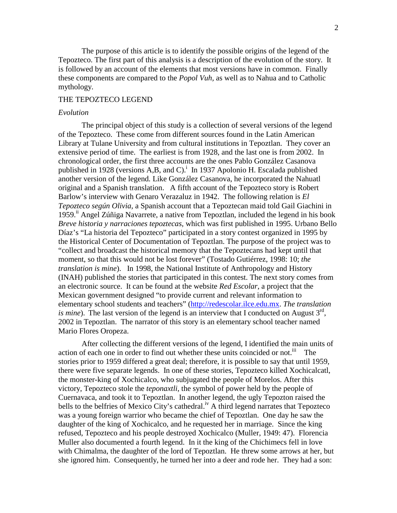The purpose of this article is to identify the possible origins of the legend of the Tepozteco. The first part of this analysis is a description of the evolution of the story. It is followed by an account of the elements that most versions have in common. Finally these components are compared to the *Popol Vuh,* as well as to Nahua and to Catholic mythology.

## THE TEPOZTECO LEGEND

#### *Evolution*

The principal object of this study is a collection of several versions of the legend of the Tepozteco. These come from different sources found in the Latin American Library at Tulane University and from cultural institutions in Tepoztlan. They cover an extensive period of time. The earliest is from 1928, and the last one is from 2002. In chronological order, the first three accounts are the ones Pablo González Casanova published in 1928 (versions A,B, and C).<sup>i</sup> In 1937 Apolonio H. Escalada published another version of the legend*.* Like González Casanova, he incorporated the Nahuatl original and a Spanish translation. A fifth account of the Tepozteco story is Robert Barlow's interview with Genaro Verazaluz in 1942. The following relation is *El Tepozteco según Olivia,* a Spanish account that a Tepoztecan maid told Gail Giachini in 1959.<sup>ii</sup> Angel Zúñiga Navarrete, a native from Tepoztlan, included the legend in his book *Breve historia y narraciones tepoztecas,* which was first published in 1995. Urbano Bello Díaz's "La historia del Tepozteco" participated in a story contest organized in 1995 by the Historical Center of Documentation of Tepoztlan. The purpose of the project was to "collect and broadcast the historical memory that the Tepoztecans had kept until that moment, so that this would not be lost forever" (Tostado Gutiérrez, 1998: 10; *the translation is mine*). In 1998, the National Institute of Anthropology and History (INAH) published the stories that participated in this contest. The next story comes from an electronic source. It can be found at the website *Red Escolar*, a project that the Mexican government designed "to provide current and relevant information to elementary school students and teachers" (http://redescolar.ilce.edu.mx. *The translation is mine*). The last version of the legend is an interview that I conducted on August  $3<sup>rd</sup>$ , 2002 in Tepoztlan. The narrator of this story is an elementary school teacher named Mario Flores Oropeza.

After collecting the different versions of the legend, I identified the main units of action of each one in order to find out whether these units coincided or not.<sup>iii</sup> The stories prior to 1959 differed a great deal; therefore, it is possible to say that until 1959, there were five separate legends. In one of these stories, Tepozteco killed Xochicalcatl, the monster-king of Xochicalco, who subjugated the people of Morelos. After this victory, Tepozteco stole the *teponaxtli*, the symbol of power held by the people of Cuernavaca, and took it to Tepoztlan. In another legend, the ugly Tepozton raised the bells to the belfries of Mexico City's cathedral.<sup>iv</sup> A third legend narrates that Tepozteco was a young foreign warrior who became the chief of Tepoztlan. One day he saw the daughter of the king of Xochicalco, and he requested her in marriage. Since the king refused, Tepozteco and his people destroyed Xochicalco (Muller, 1949: 47). Florencia Muller also documented a fourth legend. In it the king of the Chichimecs fell in love with Chimalma, the daughter of the lord of Tepoztlan. He threw some arrows at her, but she ignored him. Consequently, he turned her into a deer and rode her. They had a son: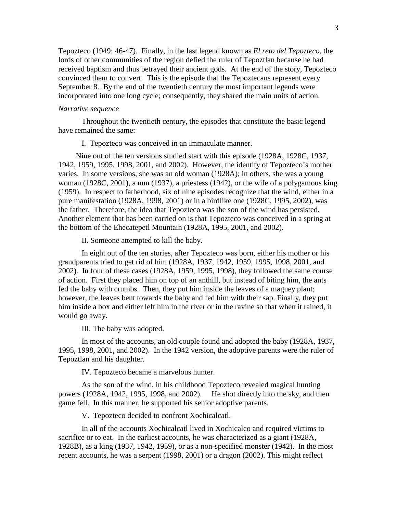Tepozteco (1949: 46-47). Finally, in the last legend known as *El reto del Tepozteco*, the lords of other communities of the region defied the ruler of Tepoztlan because he had received baptism and thus betrayed their ancient gods. At the end of the story, Tepozteco convinced them to convert. This is the episode that the Tepoztecans represent every September 8. By the end of the twentieth century the most important legends were incorporated into one long cycle; consequently, they shared the main units of action.

#### *Narrative sequence*

Throughout the twentieth century, the episodes that constitute the basic legend have remained the same:

I. Tepozteco was conceived in an immaculate manner.

Nine out of the ten versions studied start with this episode (1928A, 1928C, 1937, 1942, 1959, 1995, 1998, 2001, and 2002). However, the identity of Tepozteco's mother varies. In some versions, she was an old woman (1928A); in others, she was a young woman (1928C, 2001), a nun (1937), a priestess (1942), or the wife of a polygamous king (1959). In respect to fatherhood, six of nine episodes recognize that the wind, either in a pure manifestation (1928A, 1998, 2001) or in a birdlike one (1928C, 1995, 2002), was the father. Therefore, the idea that Tepozteco was the son of the wind has persisted. Another element that has been carried on is that Tepozteco was conceived in a spring at the bottom of the Ehecatepetl Mountain (1928A, 1995, 2001, and 2002).

II. Someone attempted to kill the baby.

In eight out of the ten stories, after Tepozteco was born, either his mother or his grandparents tried to get rid of him (1928A, 1937, 1942, 1959, 1995, 1998, 2001, and 2002). In four of these cases (1928A, 1959, 1995, 1998), they followed the same course of action. First they placed him on top of an anthill, but instead of biting him, the ants fed the baby with crumbs. Then, they put him inside the leaves of a maguey plant; however, the leaves bent towards the baby and fed him with their sap. Finally, they put him inside a box and either left him in the river or in the ravine so that when it rained, it would go away.

III. The baby was adopted.

In most of the accounts, an old couple found and adopted the baby (1928A, 1937, 1995, 1998, 2001, and 2002). In the 1942 version, the adoptive parents were the ruler of Tepoztlan and his daughter.

IV. Tepozteco became a marvelous hunter.

As the son of the wind, in his childhood Tepozteco revealed magical hunting powers (1928A, 1942, 1995, 1998, and 2002). He shot directly into the sky, and then game fell. In this manner, he supported his senior adoptive parents.

V. Tepozteco decided to confront Xochicalcatl.

In all of the accounts Xochicalcatl lived in Xochicalco and required victims to sacrifice or to eat. In the earliest accounts, he was characterized as a giant (1928A, 1928B), as a king (1937, 1942, 1959), or as a non-specified monster (1942). In the most recent accounts, he was a serpent (1998, 2001) or a dragon (2002). This might reflect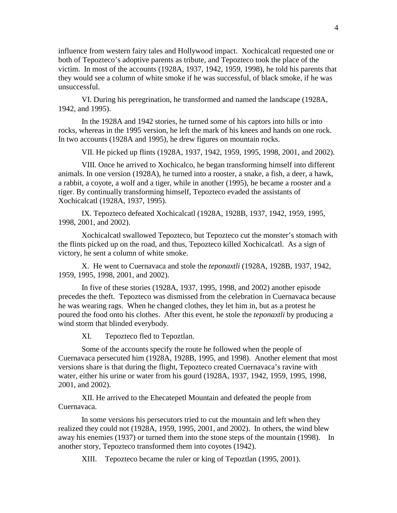influence from western fairy tales and Hollywood impact. Xochicalcatl requested one or both of Tepozteco's adoptive parents as tribute, and Tepozteco took the place of the victim. In most of the accounts (1928A, 1937, 1942, 1959, 1998), he told his parents that they would see a column of white smoke if he was successful, of black smoke, if he was unsuccessful.

VI. During his peregrination, he transformed and named the landscape (1928A, 1942, and 1995).

In the 1928A and 1942 stories, he turned some of his captors into hills or into rocks, whereas in the 1995 version, he left the mark of his knees and hands on one rock. In two accounts (1928A and 1995), he drew figures on mountain rocks.

VII. He picked up flints (1928A, 1937, 1942, 1959, 1995, 1998, 2001, and 2002).

VIII. Once he arrived to Xochicalco, he began transforming himself into different animals. In one version (1928A), he turned into a rooster, a snake, a fish, a deer, a hawk, a rabbit, a coyote, a wolf and a tiger, while in another (1995), he became a rooster and a tiger. By continually transforming himself, Tepozteco evaded the assistants of Xochicalcatl (1928A, 1937, 1995).

IX. Tepozteco defeated Xochicalcatl (1928A, 1928B, 1937, 1942, 1959, 1995, 1998, 2001, and 2002).

Xochicalcatl swallowed Tepozteco, but Tepozteco cut the monster's stomach with the flints picked up on the road, and thus, Tepozteco killed Xochicalcatl. As a sign of victory, he sent a column of white smoke.

X. He went to Cuernavaca and stole the *teponaxtli* (1928A, 1928B, 1937, 1942, 1959, 1995, 1998, 2001, and 2002).

In five of these stories (1928A, 1937, 1995, 1998, and 2002) another episode precedes the theft. Tepozteco was dismissed from the celebration in Cuernavaca because he was wearing rags. When he changed clothes, they let him in, but as a protest he poured the food onto his clothes. After this event, he stole the *teponaxtli* by producing a wind storm that blinded everybody.

XI. Tepozteco fled to Tepoztlan.

Some of the accounts specify the route he followed when the people of Cuernavaca persecuted him (1928A, 1928B, 1995, and 1998). Another element that most versions share is that during the flight, Tepozteco created Cuernavaca's ravine with water, either his urine or water from his gourd (1928A, 1937, 1942, 1959, 1995, 1998, 2001, and 2002).

XII. He arrived to the Ehecatepetl Mountain and defeated the people from Cuernavaca.

In some versions his persecutors tried to cut the mountain and left when they realized they could not (1928A, 1959, 1995, 2001, and 2002). In others, the wind blew away his enemies (1937) or turned them into the stone steps of the mountain (1998). In another story, Tepozteco transformed them into coyotes (1942).

XIII. Tepozteco became the ruler or king of Tepoztlan (1995, 2001).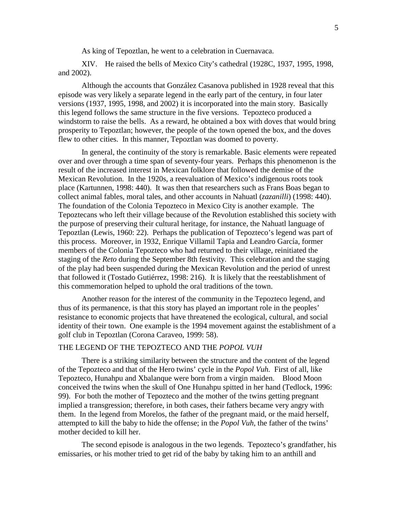As king of Tepoztlan, he went to a celebration in Cuernavaca.

XIV. He raised the bells of Mexico City's cathedral (1928C, 1937, 1995, 1998, and 2002).

Although the accounts that González Casanova published in 1928 reveal that this episode was very likely a separate legend in the early part of the century, in four later versions (1937, 1995, 1998, and 2002) it is incorporated into the main story. Basically this legend follows the same structure in the five versions. Tepozteco produced a windstorm to raise the bells. As a reward, he obtained a box with doves that would bring prosperity to Tepoztlan; however, the people of the town opened the box, and the doves flew to other cities. In this manner, Tepoztlan was doomed to poverty.

In general, the continuity of the story is remarkable. Basic elements were repeated over and over through a time span of seventy-four years. Perhaps this phenomenon is the result of the increased interest in Mexican folklore that followed the demise of the Mexican Revolution. In the 1920s, a reevaluation of Mexico's indigenous roots took place (Kartunnen, 1998: 440). It was then that researchers such as Frans Boas began to collect animal fables, moral tales, and other accounts in Nahuatl (*zazanilli*) (1998: 440). The foundation of the Colonia Tepozteco in Mexico City is another example. The Tepoztecans who left their village because of the Revolution established this society with the purpose of preserving their cultural heritage, for instance, the Nahuatl language of Tepoztlan (Lewis, 1960: 22). Perhaps the publication of Tepozteco's legend was part of this process. Moreover, in 1932, Enrique Villamil Tapia and Leandro García, former members of the Colonia Tepozteco who had returned to their village, reinitiated the staging of the *Reto* during the September 8th festivity. This celebration and the staging of the play had been suspended during the Mexican Revolution and the period of unrest that followed it (Tostado Gutiérrez, 1998: 216). It is likely that the reestablishment of this commemoration helped to uphold the oral traditions of the town.

Another reason for the interest of the community in the Tepozteco legend, and thus of its permanence, is that this story has played an important role in the peoples' resistance to economic projects that have threatened the ecological, cultural, and social identity of their town. One example is the 1994 movement against the establishment of a golf club in Tepoztlan (Corona Caraveo, 1999: 58).

#### THE LEGEND OF THE TEPOZTECO AND THE *POPOL VUH*

There is a striking similarity between the structure and the content of the legend of the Tepozteco and that of the Hero twins' cycle in the *Popol Vuh.* First of all, like Tepozteco, Hunahpu and Xbalanque were born from a virgin maiden. Blood Moon conceived the twins when the skull of One Hunahpu spitted in her hand (Tedlock, 1996: 99). For both the mother of Tepozteco and the mother of the twins getting pregnant implied a transgression; therefore, in both cases, their fathers became very angry with them. In the legend from Morelos, the father of the pregnant maid, or the maid herself, attempted to kill the baby to hide the offense; in the *Popol Vuh*, the father of the twins' mother decided to kill her.

The second episode is analogous in the two legends. Tepozteco's grandfather, his emissaries, or his mother tried to get rid of the baby by taking him to an anthill and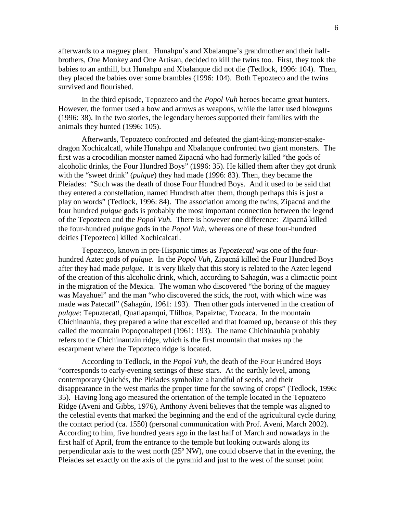afterwards to a maguey plant. Hunahpu's and Xbalanque's grandmother and their halfbrothers, One Monkey and One Artisan, decided to kill the twins too. First, they took the babies to an anthill, but Hunahpu and Xbalanque did not die (Tedlock, 1996: 104). Then, they placed the babies over some brambles (1996: 104). Both Tepozteco and the twins survived and flourished.

In the third episode, Tepozteco and the *Popol Vuh* heroes became great hunters. However, the former used a bow and arrows as weapons, while the latter used blowguns (1996: 38). In the two stories, the legendary heroes supported their families with the animals they hunted (1996: 105).

Afterwards, Tepozteco confronted and defeated the giant-king-monster-snakedragon Xochicalcatl, while Hunahpu and Xbalanque confronted two giant monsters. The first was a crocodilian monster named Zipacná who had formerly killed "the gods of alcoholic drinks, the Four Hundred Boys" (1996: 35). He killed them after they got drunk with the "sweet drink" (*pulque*) they had made (1996: 83). Then, they became the Pleiades: "Such was the death of those Four Hundred Boys. And it used to be said that they entered a constellation, named Hundrath after them, though perhaps this is just a play on words" (Tedlock, 1996: 84). The association among the twins, Zipacná and the four hundred *pulque* gods is probably the most important connection between the legend of the Tepozteco and the *Popol Vuh.* There is however one difference: Zipacná killed the four-hundred *pulque* gods in the *Popol Vuh,* whereas one of these four-hundred deities [Tepozteco] killed Xochicalcatl.

Tepozteco, known in pre-Hispanic times as *Tepoztecatl* was one of the fourhundred Aztec gods of *pulque.* In the *Popol Vuh,* Zipacná killed the Four Hundred Boys after they had made *pulque*. It is very likely that this story is related to the Aztec legend of the creation of this alcoholic drink, which, according to Sahagún, was a climactic point in the migration of the Mexica. The woman who discovered "the boring of the maguey was Mayahuel" and the man "who discovered the stick, the root, with which wine was made was Patecatl" (Sahagún, 1961: 193). Then other gods intervened in the creation of *pulque*: Tepuztecatl, Quatlapanqui, Tlilhoa, Papaiztac, Tzocaca. In the mountain Chichinauhia, they prepared a wine that excelled and that foamed up, because of this they called the mountain Popoçonaltepetl (1961: 193). The name Chichinauhia probably refers to the Chichinautzin ridge, which is the first mountain that makes up the escarpment where the Tepozteco ridge is located.

According to Tedlock, in the *Popol Vuh,* the death of the Four Hundred Boys "corresponds to early-evening settings of these stars. At the earthly level, among contemporary Quichés, the Pleiades symbolize a handful of seeds, and their disappearance in the west marks the proper time for the sowing of crops" (Tedlock, 1996: 35). Having long ago measured the orientation of the temple located in the Tepozteco Ridge (Aveni and Gibbs, 1976), Anthony Aveni believes that the temple was aligned to the celestial events that marked the beginning and the end of the agricultural cycle during the contact period (ca. 1550) (personal communication with Prof. Aveni, March 2002). According to him, five hundred years ago in the last half of March and nowadays in the first half of April, from the entrance to the temple but looking outwards along its perpendicular axis to the west north (25º NW), one could observe that in the evening, the Pleiades set exactly on the axis of the pyramid and just to the west of the sunset point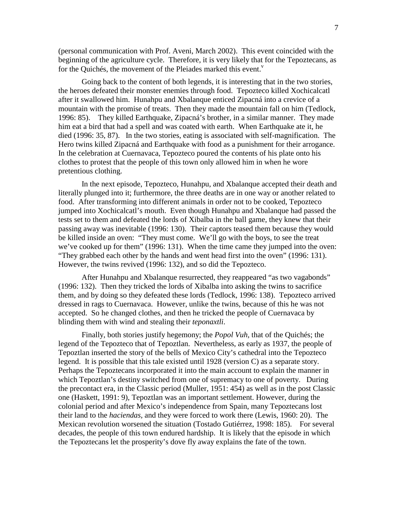(personal communication with Prof. Aveni, March 2002). This event coincided with the beginning of the agriculture cycle. Therefore, it is very likely that for the Tepoztecans, as for the Quichés, the movement of the Pleiades marked this event.<sup>v</sup>

Going back to the content of both legends, it is interesting that in the two stories, the heroes defeated their monster enemies through food. Tepozteco killed Xochicalcatl after it swallowed him. Hunahpu and Xbalanque enticed Zipacná into a crevice of a mountain with the promise of treats. Then they made the mountain fall on him (Tedlock, 1996: 85). They killed Earthquake, Zipacná's brother, in a similar manner. They made him eat a bird that had a spell and was coated with earth. When Earthquake ate it, he died (1996: 35, 87). In the two stories, eating is associated with self-magnification. The Hero twins killed Zipacná and Earthquake with food as a punishment for their arrogance. In the celebration at Cuernavaca, Tepozteco poured the contents of his plate onto his clothes to protest that the people of this town only allowed him in when he wore pretentious clothing.

In the next episode, Tepozteco, Hunahpu, and Xbalanque accepted their death and literally plunged into it; furthermore, the three deaths are in one way or another related to food. After transforming into different animals in order not to be cooked, Tepozteco jumped into Xochicalcatl's mouth. Even though Hunahpu and Xbalanque had passed the tests set to them and defeated the lords of Xibalba in the ball game, they knew that their passing away was inevitable (1996: 130). Their captors teased them because they would be killed inside an oven: "They must come. We'll go with the boys, to see the treat we've cooked up for them" (1996: 131). When the time came they jumped into the oven: "They grabbed each other by the hands and went head first into the oven" (1996: 131). However, the twins revived (1996: 132), and so did the Tepozteco.

After Hunahpu and Xbalanque resurrected, they reappeared "as two vagabonds" (1996: 132). Then they tricked the lords of Xibalba into asking the twins to sacrifice them, and by doing so they defeated these lords (Tedlock, 1996: 138). Tepozteco arrived dressed in rags to Cuernavaca. However, unlike the twins, because of this he was not accepted. So he changed clothes, and then he tricked the people of Cuernavaca by blinding them with wind and stealing their *teponaxtli*.

Finally, both stories justify hegemony; the *Popol Vuh,* that of the Quichés; the legend of the Tepozteco that of Tepoztlan. Nevertheless, as early as 1937, the people of Tepoztlan inserted the story of the bells of Mexico City's cathedral into the Tepozteco legend. It is possible that this tale existed until 1928 (version C) as a separate story. Perhaps the Tepoztecans incorporated it into the main account to explain the manner in which Tepoztlan's destiny switched from one of supremacy to one of poverty. During the precontact era, in the Classic period (Muller, 1951: 454) as well as in the post Classic one (Haskett, 1991: 9), Tepoztlan was an important settlement. However, during the colonial period and after Mexico's independence from Spain, many Tepoztecans lost their land to the *haciendas,* and they were forced to work there (Lewis, 1960: 20). The Mexican revolution worsened the situation (Tostado Gutiérrez, 1998: 185). For several decades, the people of this town endured hardship. It is likely that the episode in which the Tepoztecans let the prosperity's dove fly away explains the fate of the town.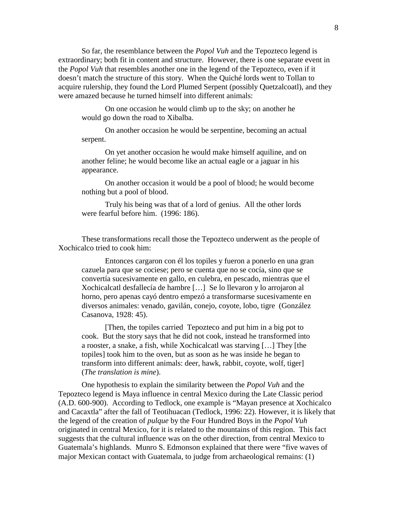So far, the resemblance between the *Popol Vuh* and the Tepozteco legend is extraordinary; both fit in content and structure. However, there is one separate event in the *Popol Vuh* that resembles another one in the legend of the Tepozteco, even if it doesn't match the structure of this story. When the Quiché lords went to Tollan to acquire rulership, they found the Lord Plumed Serpent (possibly Quetzalcoatl), and they were amazed because he turned himself into different animals:

On one occasion he would climb up to the sky; on another he would go down the road to Xibalba.

On another occasion he would be serpentine, becoming an actual serpent.

On yet another occasion he would make himself aquiline, and on another feline; he would become like an actual eagle or a jaguar in his appearance.

On another occasion it would be a pool of blood; he would become nothing but a pool of blood.

Truly his being was that of a lord of genius. All the other lords were fearful before him. (1996: 186).

These transformations recall those the Tepozteco underwent as the people of Xochicalco tried to cook him:

Entonces cargaron con él los topiles y fueron a ponerlo en una gran cazuela para que se cociese; pero se cuenta que no se cocía, sino que se convertía sucesivamente en gallo, en culebra, en pescado, mientras que el Xochicalcatl desfallecía de hambre […] Se lo llevaron y lo arrojaron al horno, pero apenas cayó dentro empezó a transformarse sucesivamente en diversos animales: venado, gavilán, conejo, coyote, lobo, tigre (González Casanova, 1928: 45).

[Then, the topiles carried Tepozteco and put him in a big pot to cook. But the story says that he did not cook, instead he transformed into a rooster, a snake, a fish, while Xochicalcatl was starving […] They [the topiles] took him to the oven, but as soon as he was inside he began to transform into different animals: deer, hawk, rabbit, coyote, wolf, tiger] (*The translation is mine*).

One hypothesis to explain the similarity between the *Popol Vuh* and the Tepozteco legend is Maya influence in central Mexico during the Late Classic period (A.D. 600-900). According to Tedlock, one example is "Mayan presence at Xochicalco and Cacaxtla" after the fall of Teotihuacan (Tedlock, 1996: 22). However, it is likely that the legend of the creation of *pulque* by the Four Hundred Boys in the *Popol Vuh* originated in central Mexico, for it is related to the mountains of this region. This fact suggests that the cultural influence was on the other direction, from central Mexico to Guatemala's highlands. Munro S. Edmonson explained that there were "five waves of major Mexican contact with Guatemala, to judge from archaeological remains: (1)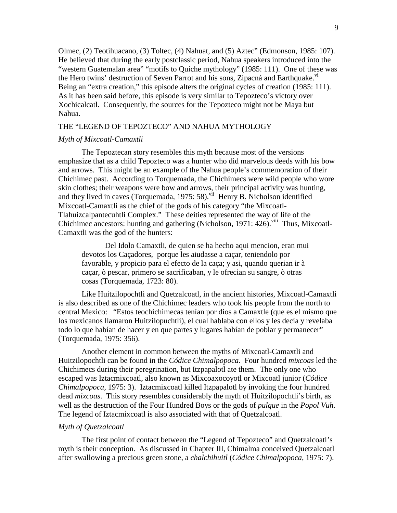Olmec, (2) Teotihuacano, (3) Toltec, (4) Nahuat, and (5) Aztec" (Edmonson, 1985: 107). He believed that during the early postclassic period, Nahua speakers introduced into the "western Guatemalan area" "motifs to Quiche mythology" (1985: 111). One of these was the Hero twins' destruction of Seven Parrot and his sons, Zipacná and Earthquake.<sup>vi</sup> Being an "extra creation," this episode alters the original cycles of creation (1985: 111). As it has been said before, this episode is very similar to Tepozteco's victory over Xochicalcatl. Consequently, the sources for the Tepozteco might not be Maya but Nahua.

#### THE "LEGEND OF TEPOZTECO" AND NAHUA MYTHOLOGY

## *Myth of Mixcoatl-Camaxtli*

The Tepoztecan story resembles this myth because most of the versions emphasize that as a child Tepozteco was a hunter who did marvelous deeds with his bow and arrows. This might be an example of the Nahua people's commemoration of their Chichimec past. According to Torquemada, the Chichimecs were wild people who wore skin clothes; their weapons were bow and arrows, their principal activity was hunting, and they lived in caves (Torquemada, 1975:  $58$ ).<sup>vii</sup> Henry B. Nicholson identified Mixcoatl-Camaxtli as the chief of the gods of his category "the Mixcoatl-Tlahuizcalpantecuhtli Complex." These deities represented the way of life of the Chichimec ancestors: hunting and gathering (Nicholson, 1971: 426).<sup>viii</sup> Thus, Mixcoatl-Camaxtli was the god of the hunters:

Del Idolo Camaxtli, de quien se ha hecho aqui mencion, eran mui devotos los Caçadores, porque les aiudasse a caçar, teniendolo por favorable, y propicio para el efecto de la caça; y asi, quando querian ir à caçar, ò pescar, primero se sacrificaban, y le ofrecian su sangre, ò otras cosas (Torquemada, 1723: 80).

Like Huitzilopochtli and Quetzalcoatl, in the ancient histories, Mixcoatl-Camaxtli is also described as one of the Chichimec leaders who took his people from the north to central Mexico: "Estos teochichimecas tenían por dios a Camaxtle (que es el mismo que los mexicanos llamaron Huitzilopuchtli), el cual hablaba con ellos y les decía y revelaba todo lo que habían de hacer y en que partes y lugares habían de poblar y permanecer" (Torquemada, 1975: 356).

Another element in common between the myths of Mixcoatl-Camaxtli and Huitzilopochtli can be found in the *Códice Chimalpopoca.* Four hundred *mixcoas* led the Chichimecs during their peregrination, but Itzpapalotl ate them. The only one who escaped was Iztacmixcoatl, also known as Mixcoaxocoyotl or Mixcoatl junior (*Códice Chimalpopoca,* 1975: 3). Iztacmixcoatl killed Itzpapalotl by invoking the four hundred dead *mixcoas*. This story resembles considerably the myth of Huitzilopochtli's birth, as well as the destruction of the Four Hundred Boys or the gods of *pulque* in the *Popol Vuh.*  The legend of Iztacmixcoatl is also associated with that of Quetzalcoatl.

#### *Myth of Quetzalcoatl*

The first point of contact between the "Legend of Tepozteco" and Quetzalcoatl's myth is their conception. As discussed in Chapter III, Chimalma conceived Quetzalcoatl after swallowing a precious green stone, a *chalchihuitl* (*Códice Chimalpopoca,* 1975: 7).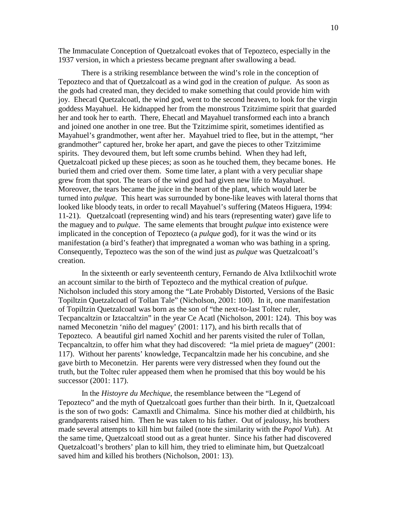The Immaculate Conception of Quetzalcoatl evokes that of Tepozteco, especially in the 1937 version, in which a priestess became pregnant after swallowing a bead.

There is a striking resemblance between the wind's role in the conception of Tepozteco and that of Quetzalcoatl as a wind god in the creation of *pulque.* As soon as the gods had created man, they decided to make something that could provide him with joy. Ehecatl Quetzalcoatl, the wind god, went to the second heaven, to look for the virgin goddess Mayahuel.He kidnapped her from the monstrous Tzitzimime spirit that guarded her and took her to earth. There, Ehecatl and Mayahuel transformed each into a branch and joined one another in one tree. But the Tzitzimime spirit, sometimes identified as Mayahuel's grandmother, went after her. Mayahuel tried to flee, but in the attempt, "her grandmother" captured her, broke her apart, and gave the pieces to other Tzitzimime spirits. They devoured them, but left some crumbs behind. When they had left, Quetzalcoatl picked up these pieces; as soon as he touched them, they became bones. He buried them and cried over them. Some time later, a plant with a very peculiar shape grew from that spot. The tears of the wind god had given new life to Mayahuel. Moreover, the tears became the juice in the heart of the plant, which would later be turned into *pulque.* This heart was surrounded by bone-like leaves with lateral thorns that looked like bloody teats, in order to recall Mayahuel's suffering (Mateos Higuera, 1994: 11-21). Quetzalcoatl (representing wind) and his tears (representing water) gave life to the maguey and to *pulque*. The same elements that brought *pulque* into existence were implicated in the conception of Tepozteco (a *pulque* god), for it was the wind or its manifestation (a bird's feather) that impregnated a woman who was bathing in a spring. Consequently, Tepozteco was the son of the wind just as *pulque* was Quetzalcoatl's creation.

In the sixteenth or early seventeenth century, Fernando de Alva Ixtlilxochitl wrote an account similar to the birth of Tepozteco and the mythical creation of *pulque.*  Nicholson included this story among the "Late Probably Distorted, Versions of the Basic Topiltzin Quetzalcoatl of Tollan Tale" (Nicholson, 2001: 100). In it, one manifestation of Topiltzin Quetzalcoatl was born as the son of "the next-to-last Toltec ruler, Tecpancaltzin or Iztaccaltzin" in the year Ce Acatl (Nicholson, 2001: 124). This boy was named Meconetzin 'niño del maguey' (2001: 117), and his birth recalls that of Tepozteco. A beautiful girl named Xochitl and her parents visited the ruler of Tollan, Tecpancaltzin, to offer him what they had discovered: "la miel prieta de maguey" (2001: 117). Without her parents' knowledge, Tecpancaltzin made her his concubine, and she gave birth to Meconetzin. Her parents were very distressed when they found out the truth, but the Toltec ruler appeased them when he promised that this boy would be his successor (2001: 117).

In the *Histoyre du Mechique*, the resemblance between the "Legend of Tepozteco" and the myth of Quetzalcoatl goes further than their birth. In it, Quetzalcoatl is the son of two gods: Camaxtli and Chimalma. Since his mother died at childbirth, his grandparents raised him. Then he was taken to his father. Out of jealousy, his brothers made several attempts to kill him but failed (note the similarity with the *Popol Vuh*). At the same time, Quetzalcoatl stood out as a great hunter. Since his father had discovered Quetzalcoatl's brothers' plan to kill him, they tried to eliminate him, but Quetzalcoatl saved him and killed his brothers (Nicholson, 2001: 13).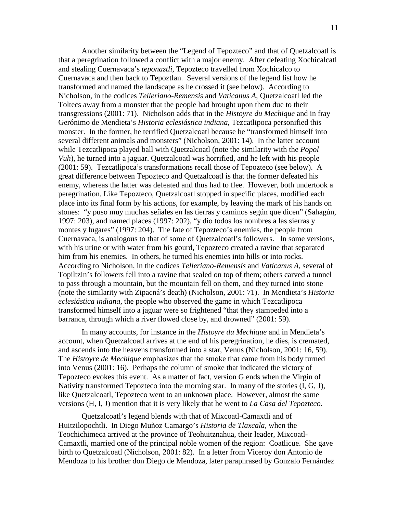Another similarity between the "Legend of Tepozteco" and that of Quetzalcoatl is that a peregrination followed a conflict with a major enemy. After defeating Xochicalcatl and stealing Cuernavaca's *teponaztli,* Tepozteco travelled from Xochicalco to Cuernavaca and then back to Tepoztlan. Several versions of the legend list how he transformed and named the landscape as he crossed it (see below). According to Nicholson, in the codices *Telleriano-Remensis* and *Vaticanus A*, Quetzalcoatl led the Toltecs away from a monster that the people had brought upon them due to their transgressions (2001: 71). Nicholson adds that in the *Histoyre du Mechique* and in fray Gerónimo de Mendieta's *Historia eclesiástica indiana,* Tezcatlipoca personified this monster. In the former, he terrified Quetzalcoatl because he "transformed himself into several different animals and monsters" (Nicholson, 2001: 14). In the latter account while Tezcatlipoca played ball with Quetzalcoatl (note the similarity with the *Popol Vuh*), he turned into a jaguar. Quetzalcoatl was horrified, and he left with his people (2001: 59). Tezcatlipoca's transformations recall those of Tepozteco (see below). A great difference between Tepozteco and Quetzalcoatl is that the former defeated his enemy, whereas the latter was defeated and thus had to flee. However, both undertook a peregrination. Like Tepozteco, Quetzalcoatl stopped in specific places, modified each place into its final form by his actions, for example, by leaving the mark of his hands on stones: "y puso muy muchas señales en las tierras y caminos según que dicen" (Sahagún, 1997: 203), and named places (1997: 202), "y dio todos los nombres a las sierras y montes y lugares" (1997: 204). The fate of Tepozteco's enemies, the people from Cuernavaca, is analogous to that of some of Quetzalcoatl's followers. In some versions, with his urine or with water from his gourd, Tepozteco created a ravine that separated him from his enemies. In others, he turned his enemies into hills or into rocks. According to Nicholson, in the codices *Telleriano-Remensis* and *Vaticanus A,* several of Topiltzin's followers fell into a ravine that sealed on top of them; others carved a tunnel to pass through a mountain, but the mountain fell on them, and they turned into stone (note the similarity with Zipacná's death) (Nicholson, 2001: 71). In Mendieta's *Historia eclesiástica indiana,* the people who observed the game in which Tezcatlipoca transformed himself into a jaguar were so frightened "that they stampeded into a barranca, through which a river flowed close by, and drowned" (2001: 59).

In many accounts, for instance in the *Histoyre du Mechique* and in Mendieta's account, when Quetzalcoatl arrives at the end of his peregrination, he dies, is cremated, and ascends into the heavens transformed into a star, Venus (Nicholson, 2001: 16, 59). The *Histoyre de Mechique* emphasizes that the smoke that came from his body turned into Venus (2001: 16). Perhaps the column of smoke that indicated the victory of Tepozteco evokes this event. As a matter of fact, version G ends when the Virgin of Nativity transformed Tepozteco into the morning star. In many of the stories (I, G, J), like Quetzalcoatl, Tepozteco went to an unknown place. However, almost the same versions (H, I, J) mention that it is very likely that he went to *La Casa del Tepozteco.* 

Quetzalcoatl's legend blends with that of Mixcoatl-Camaxtli and of Huitzilopochtli. In Diego Muñoz Camargo's *Historia de Tlaxcala,* when the Teochichimeca arrived at the province of Teohuitznahua, their leader, Mixcoatl-Camaxtli, married one of the principal noble women of the region: Coatlicue. She gave birth to Quetzalcoatl (Nicholson, 2001: 82). In a letter from Viceroy don Antonio de Mendoza to his brother don Diego de Mendoza, later paraphrased by Gonzalo Fernández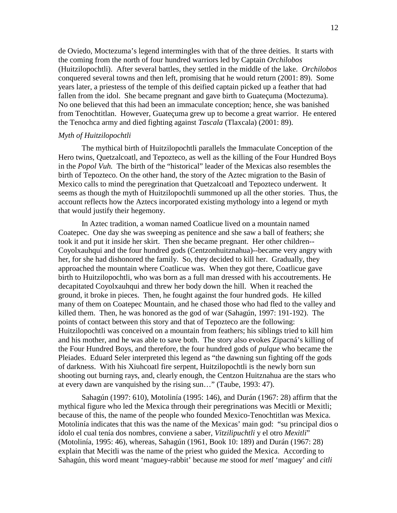de Oviedo, Moctezuma's legend intermingles with that of the three deities. It starts with the coming from the north of four hundred warriors led by Captain *Orchilobos*  (Huitzilopochtli). After several battles, they settled in the middle of the lake. *Orchilobos*  conquered several towns and then left, promising that he would return (2001: 89). Some years later, a priestess of the temple of this deified captain picked up a feather that had fallen from the idol. She became pregnant and gave birth to Guateçuma (Moctezuma). No one believed that this had been an immaculate conception; hence, she was banished from Tenochtitlan. However, Guateçuma grew up to become a great warrior. He entered the Tenochca army and died fighting against *Tascala* (Tlaxcala) (2001: 89).

#### *Myth of Huitzilopochtli*

The mythical birth of Huitzilopochtli parallels the Immaculate Conception of the Hero twins, Quetzalcoatl, and Tepozteco, as well as the killing of the Four Hundred Boys in the *Popol Vuh.* The birth of the "historical" leader of the Mexicas also resembles the birth of Tepozteco. On the other hand, the story of the Aztec migration to the Basin of Mexico calls to mind the peregrination that Quetzalcoatl and Tepozteco underwent. It seems as though the myth of Huitzilopochtli summoned up all the other stories. Thus, the account reflects how the Aztecs incorporated existing mythology into a legend or myth that would justify their hegemony.

In Aztec tradition, a woman named Coatlicue lived on a mountain named Coatepec. One day she was sweeping as penitence and she saw a ball of feathers; she took it and put it inside her skirt. Then she became pregnant. Her other children-- Coyolxauhqui and the four hundred gods (Centzonhuitznahua)--became very angry with her, for she had dishonored the family. So, they decided to kill her. Gradually, they approached the mountain where Coatlicue was. When they got there, Coatlicue gave birth to Huitzilopochtli, who was born as a full man dressed with his accoutrements. He decapitated Coyolxauhqui and threw her body down the hill. When it reached the ground, it broke in pieces. Then, he fought against the four hundred gods. He killed many of them on Coatepec Mountain, and he chased those who had fled to the valley and killed them. Then, he was honored as the god of war (Sahagún, 1997: 191-192). The points of contact between this story and that of Tepozteco are the following: Huitzilopochtli was conceived on a mountain from feathers; his siblings tried to kill him and his mother, and he was able to save both. The story also evokes Zipacná's killing of the Four Hundred Boys, and therefore, the four hundred gods of *pulque* who became the Pleiades. Eduard Seler interpreted this legend as "the dawning sun fighting off the gods of darkness. With his Xiuhcoatl fire serpent, Huitzilopochtli is the newly born sun shooting out burning rays, and, clearly enough, the Centzon Huitznahua are the stars who at every dawn are vanquished by the rising sun…" (Taube, 1993: 47).

Sahagún (1997: 610), Motolinía (1995: 146), and Durán (1967: 28) affirm that the mythical figure who led the Mexica through their peregrinations was Mecitli or Mexitli; because of this, the name of the people who founded Mexico-Tenochtitlan was Mexica. Motolinía indicates that this was the name of the Mexicas' main god: "su principal dios o ídolo el cual tenía dos nombres, conviene a saber, *Vitzilipuchtli* y el otro *Mexitli*" (Motolinía, 1995: 46), whereas, Sahagún (1961, Book 10: 189) and Durán (1967: 28) explain that Mecitli was the name of the priest who guided the Mexica. According to Sahagún, this word meant 'maguey-rabbit' because *me* stood for *metl* 'maguey' and *citli*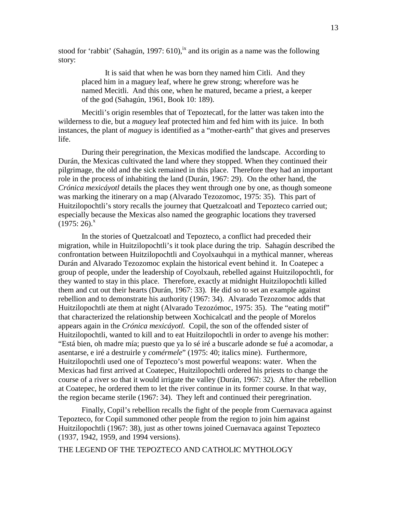stood for 'rabbit' (Sahagún, 1997:  $610$ ),<sup>ix</sup> and its origin as a name was the following story:

It is said that when he was born they named him Citli. And they placed him in a maguey leaf, where he grew strong; wherefore was he named Mecitli. And this one, when he matured, became a priest, a keeper of the god (Sahagún, 1961, Book 10: 189).

Mecitli's origin resembles that of Tepoztecatl, for the latter was taken into the wilderness to die, but a *maguey* leaf protected him and fed him with its juice. In both instances, the plant of *maguey* is identified as a "mother-earth" that gives and preserves life.

During their peregrination, the Mexicas modified the landscape. According to Durán, the Mexicas cultivated the land where they stopped. When they continued their pilgrimage, the old and the sick remained in this place. Therefore they had an important role in the process of inhabiting the land (Durán, 1967: 29). On the other hand, the *Crónica mexicáyotl* details the places they went through one by one, as though someone was marking the itinerary on a map (Alvarado Tezozomoc, 1975: 35). This part of Huitzilopochtli's story recalls the journey that Quetzalcoatl and Tepozteco carried out; especially because the Mexicas also named the geographic locations they traversed  $(1975:26)^{x}$ 

In the stories of Quetzalcoatl and Tepozteco, a conflict had preceded their migration, while in Huitzilopochtli's it took place during the trip. Sahagún described the confrontation between Huitzilopochtli and Coyolxauhqui in a mythical manner, whereas Durán and Alvarado Tezozomoc explain the historical event behind it. In Coatepec a group of people, under the leadership of Coyolxauh, rebelled against Huitzilopochtli, for they wanted to stay in this place. Therefore, exactly at midnight Huitzilopochtli killed them and cut out their hearts (Durán, 1967: 33). He did so to set an example against rebellion and to demonstrate his authority (1967: 34). Alvarado Tezozomoc adds that Huitzilopochtli ate them at night (Alvarado Tezozómoc, 1975: 35). The "eating motif" that characterized the relationship between Xochicalcatl and the people of Morelos appears again in the *Crónica mexicáyotl.* Copil, the son of the offended sister of Huitzilopochtli, wanted to kill and to eat Huitzilopochtli in order to avenge his mother: "Está bien, oh madre mía; puesto que ya lo sé iré a buscarle adonde se fué a acomodar, a asentarse, e iré a destruirle y *comérmele*" (1975: 40; italics mine). Furthermore, Huitzilopochtli used one of Tepozteco's most powerful weapons: water. When the Mexicas had first arrived at Coatepec, Huitzilopochtli ordered his priests to change the course of a river so that it would irrigate the valley (Durán, 1967: 32). After the rebellion at Coatepec, he ordered them to let the river continue in its former course. In that way, the region became sterile (1967: 34). They left and continued their peregrination.

Finally, Copil's rebellion recalls the fight of the people from Cuernavaca against Tepozteco, for Copil summoned other people from the region to join him against Huitzilopochtli (1967: 38), just as other towns joined Cuernavaca against Tepozteco (1937, 1942, 1959, and 1994 versions).

THE LEGEND OF THE TEPOZTECO AND CATHOLIC MYTHOLOGY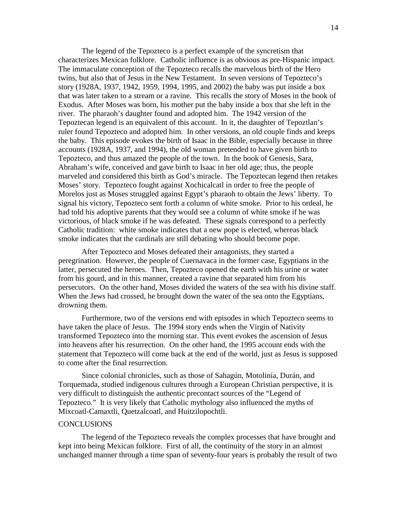The legend of the Tepozteco is a perfect example of the syncretism that characterizes Mexican folklore. Catholic influence is as obvious as pre-Hispanic impact. The immaculate conception of the Tepozteco recalls the marvelous birth of the Hero twins, but also that of Jesus in the New Testament. In seven versions of Tepozteco's story (1928A, 1937, 1942, 1959, 1994, 1995, and 2002) the baby was put inside a box that was later taken to a stream or a ravine. This recalls the story of Moses in the book of Exodus. After Moses was born, his mother put the baby inside a box that she left in the river. The pharaoh's daughter found and adopted him. The 1942 version of the Tepoztecan legend is an equivalent of this account. In it, the daughter of Tepoztlan's ruler found Tepozteco and adopted him. In other versions, an old couple finds and keeps the baby. This episode evokes the birth of Isaac in the Bible, especially because in three accounts (1928A, 1937, and 1994), the old woman pretended to have given birth to Tepozteco, and thus amazed the people of the town. In the book of Genesis, Sara, Abraham's wife, conceived and gave birth to Isaac in her old age; thus, the people marveled and considered this birth as God's miracle. The Tepoztecan legend then retakes Moses' story. Tepozteco fought against Xochicalcatl in order to free the people of Morelos just as Moses struggled against Egypt's pharaoh to obtain the Jews' liberty. To signal his victory, Tepozteco sent forth a column of white smoke. Prior to his ordeal, he had told his adoptive parents that they would see a column of white smoke if he was victorious, of black smoke if he was defeated. These signals correspond to a perfectly Catholic tradition: white smoke indicates that a new pope is elected, whereas black smoke indicates that the cardinals are still debating who should become pope.

After Tepozteco and Moses defeated their antagonists, they started a peregrination. However, the people of Cuernavaca in the former case, Egyptians in the latter, persecuted the heroes. Then, Tepozteco opened the earth with his urine or water from his gourd, and in this manner, created a ravine that separated him from his persecutors. On the other hand, Moses divided the waters of the sea with his divine staff. When the Jews had crossed, he brought down the water of the sea onto the Egyptians, drowning them.

Furthermore, two of the versions end with episodes in which Tepozteco seems to have taken the place of Jesus. The 1994 story ends when the Virgin of Nativity transformed Tepozteco into the morning star. This event evokes the ascension of Jesus into heavens after his resurrection. On the other hand, the 1995 account ends with the statement that Tepozteco will come back at the end of the world, just as Jesus is supposed to come after the final resurrection.

Since colonial chronicles, such as those of Sahagún, Motolinía, Durán, and Torquemada, studied indigenous cultures through a European Christian perspective, it is very difficult to distinguish the authentic precontact sources of the "Legend of Tepozteco." It is very likely that Catholic mythology also influenced the myths of Mixcoatl-Camaxtli, Quetzalcoatl, and Huitzilopochtli.

## **CONCLUSIONS**

The legend of the Tepozteco reveals the complex processes that have brought and kept into being Mexican folklore. First of all, the continuity of the story in an almost unchanged manner through a time span of seventy-four years is probably the result of two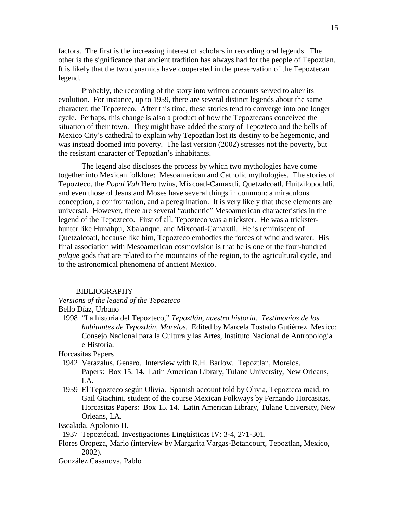factors. The first is the increasing interest of scholars in recording oral legends. The other is the significance that ancient tradition has always had for the people of Tepoztlan. It is likely that the two dynamics have cooperated in the preservation of the Tepoztecan legend.

Probably, the recording of the story into written accounts served to alter its evolution. For instance, up to 1959, there are several distinct legends about the same character: the Tepozteco. After this time, these stories tend to converge into one longer cycle. Perhaps, this change is also a product of how the Tepoztecans conceived the situation of their town. They might have added the story of Tepozteco and the bells of Mexico City's cathedral to explain why Tepoztlan lost its destiny to be hegemonic, and was instead doomed into poverty. The last version (2002) stresses not the poverty, but the resistant character of Tepoztlan's inhabitants.

The legend also discloses the process by which two mythologies have come together into Mexican folklore: Mesoamerican and Catholic mythologies. The stories of Tepozteco, the *Popol Vuh* Hero twins, Mixcoatl-Camaxtli, Quetzalcoatl, Huitzilopochtli, and even those of Jesus and Moses have several things in common: a miraculous conception, a confrontation, and a peregrination. It is very likely that these elements are universal. However, there are several "authentic" Mesoamerican characteristics in the legend of the Tepozteco. First of all, Tepozteco was a trickster. He was a tricksterhunter like Hunahpu, Xbalanque, and Mixcoatl-Camaxtli. He is reminiscent of Quetzalcoatl, because like him, Tepozteco embodies the forces of wind and water. His final association with Mesoamerican cosmovision is that he is one of the four-hundred *pulque* gods that are related to the mountains of the region, to the agricultural cycle, and to the astronomical phenomena of ancient Mexico.

#### BIBLIOGRAPHY

*Versions of the legend of the Tepozteco* 

Bello Díaz, Urbano

1998 "La historia del Tepozteco," *Tepoztlán, nuestra historia. Testimonios de los habitantes de Tepoztlán, Morelos.* Edited by Marcela Tostado Gutiérrez. Mexico: Consejo Nacional para la Cultura y las Artes, Instituto Nacional de Antropología e Historia.

Horcasitas Papers

- 1942 Verazalus, Genaro. Interview with R.H. Barlow. Tepoztlan, Morelos. Papers: Box 15. 14. Latin American Library, Tulane University, New Orleans, LA.
- 1959 El Tepozteco según Olivia. Spanish account told by Olivia, Tepozteca maid, to Gail Giachini, student of the course Mexican Folkways by Fernando Horcasitas. Horcasitas Papers: Box 15. 14. Latin American Library, Tulane University, New Orleans, LA.

Escalada, Apolonio H.

1937 Tepoztécatl. Investigaciones Lingüísticas IV: 3-4, 271-301.

- Flores Oropeza, Mario (interview by Margarita Vargas-Betancourt, Tepoztlan, Mexico, 2002).
- González Casanova, Pablo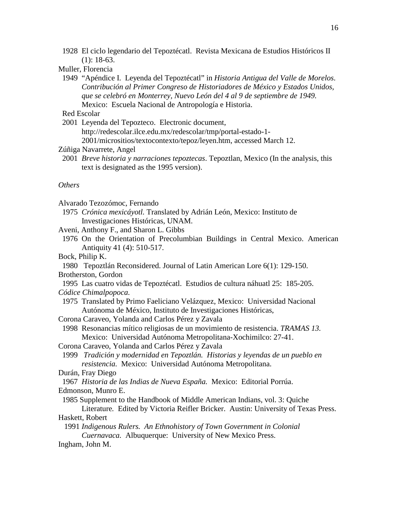- 1928 El ciclo legendario del Tepoztécatl. Revista Mexicana de Estudios Históricos II (1): 18-63.
- Muller, Florencia
- 1949 "Apéndice I. Leyenda del Tepoztécatl" in *Historia Antigua del Valle de Morelos*. *Contribución al Primer Congreso de Historiadores de México y Estados Unidos, que se celebró en Monterrey, Nuevo León del 4 al 9 de septiembre de 1949.*  Mexico: Escuela Nacional de Antropología e Historia.

## Red Escolar

 2001 Leyenda del Tepozteco. Electronic document, http://redescolar.ilce.edu.mx/redescolar/tmp/portal-estado-1- 2001/micrositios/textocontexto/tepoz/leyen.htm, accessed March 12.

#### Zúñiga Navarrete, Angel

 2001 *Breve historia y narraciones tepoztecas*. Tepoztlan, Mexico (In the analysis, this text is designated as the 1995 version).

# *Others*

Alvarado Tezozómoc, Fernando

- 1975 *Crónica mexicáyotl.* Translated by Adrián León, Mexico: Instituto de Investigaciones Históricas, UNAM.
- Aveni, Anthony F., and Sharon L. Gibbs
- 1976 On the Orientation of Precolumbian Buildings in Central Mexico. American Antiquity 41 (4): 510-517.
- Bock, Philip K.

 1980 Tepoztlán Reconsidered. Journal of Latin American Lore 6(1): 129-150. Brotherston, Gordon

- 1995 Las cuatro vidas de Tepoztécatl. Estudios de cultura náhuatl 25: 185-205. *Códice Chimalpopoca.*
- 1975 Translated by Primo Faeliciano Velázquez, Mexico: Universidad Nacional Autónoma de México, Instituto de Investigaciones Históricas,
- Corona Caraveo, Yolanda and Carlos Pérez y Zavala

 1998 Resonancias mítico religiosas de un movimiento de resistencia. *TRAMAS 13.*  Mexico: Universidad Autónoma Metropolitana-Xochimilco: 27-41.

- Corona Caraveo, Yolanda and Carlos Pérez y Zavala
- 1999 *Tradición y modernidad en Tepoztlán. Historias y leyendas de un pueblo en resistencia.* Mexico: Universidad Autónoma Metropolitana.
- Durán, Fray Diego

1967 *Historia de las Indias de Nueva España.* Mexico: Editorial Porrúa.

- Edmonson, Munro E.
- 1985 Supplement to the Handbook of Middle American Indians, vol. 3: Quiche

Literature*.* Edited by Victoria Reifler Bricker. Austin: University of Texas Press. Haskett, Robert

1991 *Indigenous Rulers. An Ethnohistory of Town Government in Colonial* 

*Cuernavaca.* Albuquerque: University of New Mexico Press. Ingham, John M.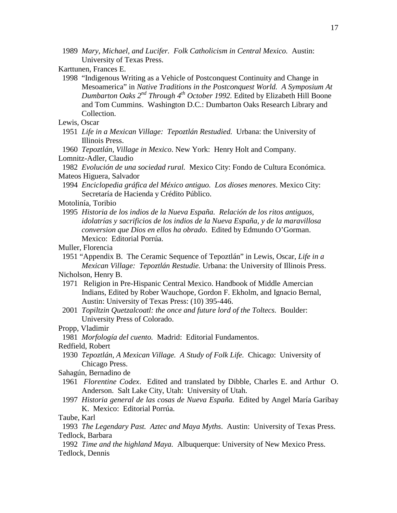1989 *Mary, Michael, and Lucifer. Folk Catholicism in Central Mexico.* Austin: University of Texas Press.

 1998 "Indigenous Writing as a Vehicle of Postconquest Continuity and Change in Mesoamerica" in *Native Traditions in the Postconquest World. A Symposium At Dumbarton Oaks 2nd Through 4th October 1992.* Edited by Elizabeth Hill Boone and Tom Cummins. Washington D.C.: Dumbarton Oaks Research Library and Collection.

Lewis, Oscar

 1951 *Life in a Mexican Village: Tepoztlán Restudied.* Urbana: the University of Illinois Press.

1960 *Tepoztlán, Village in Mexico*. New York: Henry Holt and Company. Lomnitz-Adler, Claudio

1982 *Evolución de una sociedad rural.* Mexico City: Fondo de Cultura Económica.

Mateos Higuera, Salvador

 1994 *Enciclopedia gráfica del México antiguo. Los dioses menores*. Mexico City: Secretaría de Hacienda y Crédito Público.

Motolinía, Toribio

1995 *Historia de los indios de la Nueva España. Relación de los ritos antiguos, idolatrías y sacrificios de los indios de la Nueva España, y de la maravillosa conversion que Dios en ellos ha obrado*. Edited by Edmundo O'Gorman. Mexico: Editorial Porrúa.

Muller, Florencia

 1951 "Appendix B. The Ceramic Sequence of Tepoztlán" in Lewis, Oscar, *Life in a Mexican Village: Tepoztlán Restudie.* Urbana: the University of Illinois Press.

Nicholson, Henry B.

- 1971 Religion in Pre-Hispanic Central Mexico. Handbook of Middle Amercian Indians, Edited by Rober Wauchope, Gordon F. Ekholm, and Ignacio Bernal, Austin: University of Texas Press: (10) 395-446.
- 2001 *Topiltzin Quetzalcoatl: the once and future lord of the Toltecs.* Boulder: University Press of Colorado.
- Propp, Vladimir

1981 *Morfología del cuento.* Madrid: Editorial Fundamentos.

- Redfield, Robert
- 1930 *Tepoztlán, A Mexican Village. A Study of Folk Life.* Chicago: University of Chicago Press.

Sahagún, Bernadino de

- 1961 *Florentine Codex*. Edited and translated by Dibble, Charles E. and Arthur O. Anderson. Salt Lake City, Utah: University of Utah.
- 1997 *Historia general de las cosas de Nueva España.* Edited by Angel María Garibay K. Mexico: Editorial Porrúa.

 1992 *Time and the highland Maya.* Albuquerque: University of New Mexico Press. Tedlock, Dennis

Karttunen, Frances E.

Taube, Karl

1993 *The Legendary Past. Aztec and Maya Myths*. Austin: University of Texas Press. Tedlock, Barbara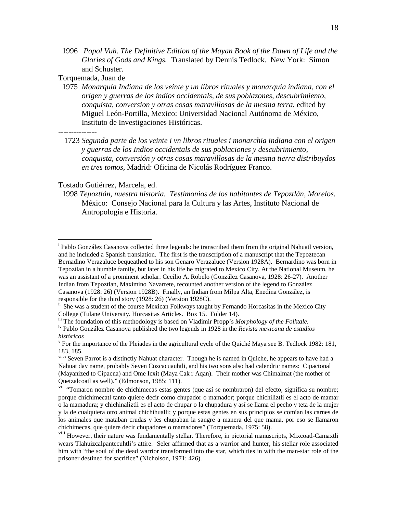1996 *Popol Vuh. The Definitive Edition of the Mayan Book of the Dawn of Life and the Glories of Gods and Kings.* Translated by Dennis Tedlock. New York: Simon and Schuster.

Torquemada, Juan de

- 1975 *Monarquía Indiana de los veinte y un libros rituales y monarquía indiana, con el origen y guerras de los indios occidentals, de sus poblazones, descubrimiento, conquista, conversion y otras cosas maravillosas de la mesma terra*, edited by Miguel León-Portilla, Mexico: Universidad Nacional Autónoma de México, Instituto de Investigaciones Históricas.
- ---------------

 $\overline{a}$ 

 1723 *Segunda parte de los veinte i vn libros rituales i monarchia indiana con el origen y guerras de los Indios occidentals de sus poblaciones y descubrimiento, conquista, conversión y otras cosas maravillosas de la mesma tierra distribuydos en tres tomos,* Madrid: Oficina de Nicolás Rodríguez Franco.

# Tostado Gutiérrez, Marcela, ed.

 1998 *Tepoztlán, nuestra historia. Testimonios de los habitantes de Tepoztlán, Morelos.*  México: Consejo Nacional para la Cultura y las Artes, Instituto Nacional de Antropología e Historia.

iii The foundation of this methodology is based on Vladimir Propp's *Morphology of the Folktale.*

iv Pablo González Casanova published the two legends in 1928 in the *Revista mexicana de estudios históricos*

<sup>&</sup>lt;sup>i</sup> Pablo González Casanova collected three legends: he transcribed them from the original Nahuatl version, and he included a Spanish translation. The first is the transcription of a manuscript that the Tepoztecan Bernadino Verazaluce bequeathed to his son Genaro Verazaluce (Version 1928A). Bernardino was born in Tepoztlan in a humble family, but later in his life he migrated to Mexico City. At the National Museum, he was an assistant of a prominent scholar: Cecilio A. Robelo (González Casanova, 1928: 26-27). Another Indian from Tepoztlan, Maximino Navarrete, recounted another version of the legend to González Casanova (1928: 26) (Version 1928B). Finally, an Indian from Milpa Alta, Enedina González, is responsible for the third story (1928: 26) (Version 1928C).

<sup>&</sup>lt;sup>ii</sup> She was a student of the course Mexican Folkways taught by Fernando Horcasitas in the Mexico City College (Tulane University. Horcasitas Articles. Box 15. Folder 14).

<sup>&</sup>lt;sup>v</sup> For the importance of the Pleiades in the agricultural cycle of the Quiché Maya see B. Tedlock 1982: 181, 183, 185.

<sup>&</sup>lt;sup>vi</sup> " Seven Parrot is a distinctly Nahuat character. Though he is named in Quiche, he appears to have had a Nahuat day name, probably Seven Cozcacuauhtli, and his two sons also had calendric names: Cipactonal (Mayanized to Cipacna) and Ome Icxit (Maya Cak r Aqan). Their mother was Chimalmat (the mother of Quetzalcoatl as well)." (Edmonson, 1985: 111).

vii "Tomaron nombre de chichimecas estas gentes (que así se nombraron) del efecto, significa su nombre; porque chichimecatl tanto quiere decir como chupador o mamador; porque chichiliztli es el acto de mamar o la mamadura; y chichinaliztli es el acto de chupar o la chupadura y así se llama el pecho y teta de la mujer y la de cualquiera otro animal chichihualli; y porque estas gentes en sus principios se comían las carnes de los animales que mataban crudas y les chupaban la sangre a manera del que mama, por eso se llamaron chichimecas, que quiere decir chupadores o mamadores" (Torquemada, 1975: 58).

viii However, their nature was fundamentally stellar. Therefore, in pictorial manuscripts, Mixcoatl-Camaxtli wears Tlahuizcalpantecuhtli's attire. Seler affirmed that as a warrior and hunter, his stellar role associated him with "the soul of the dead warrior transformed into the star, which ties in with the man-star role of the prisoner destined for sacrifice" (Nicholson, 1971: 426).